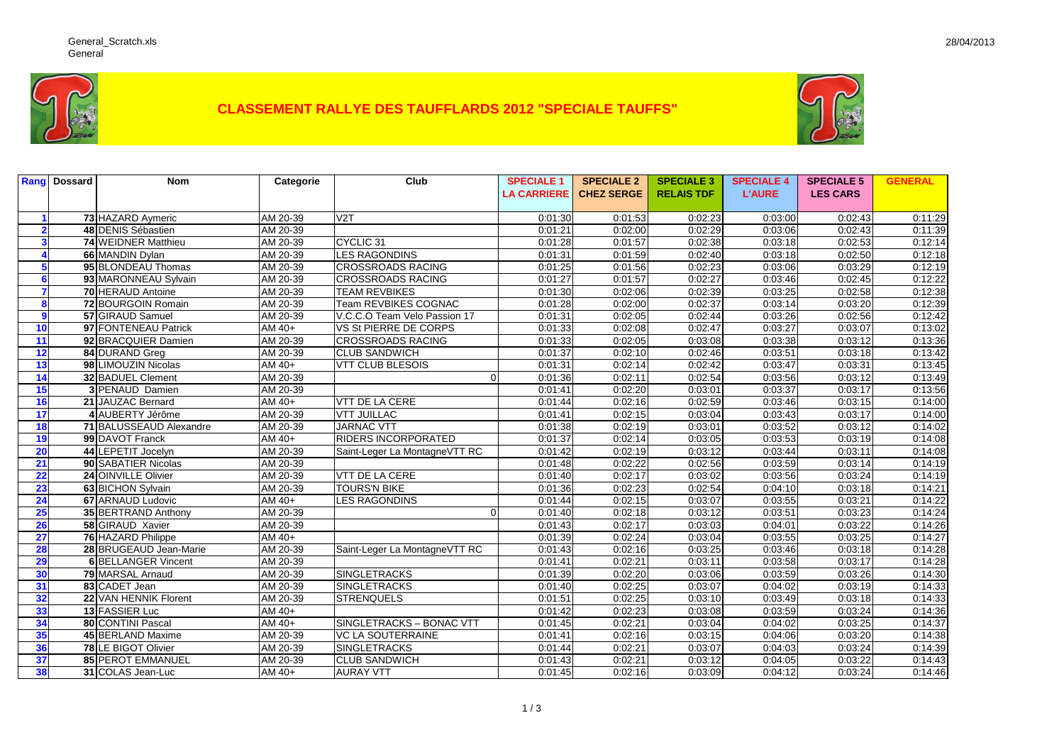

## **CLASSEMENT RALLYE DES TAUFFLARDS 2012 "SPECIALE TAUFFS"**



|                         | <b>Rang</b> Dossard | <b>Nom</b>                 | Categorie          | Club                          | <b>SPECIALE 1</b>  | <b>SPECIALE 2</b> | <b>SPECIALE 3</b> | <b>SPECIALE 4</b> | <b>SPECIALE 5</b> | <b>GENERAL</b> |
|-------------------------|---------------------|----------------------------|--------------------|-------------------------------|--------------------|-------------------|-------------------|-------------------|-------------------|----------------|
|                         |                     |                            |                    |                               | <b>LA CARRIERE</b> | <b>CHEZ SERGE</b> | <b>RELAIS TDF</b> | <b>L'AURE</b>     | <b>LES CARS</b>   |                |
|                         |                     |                            |                    |                               |                    |                   |                   |                   |                   |                |
|                         |                     | 73 HAZARD Aymeric          | AM 20-39           | $\overline{V2T}$              | 0:01:30            | 0:01:53           | 0:02:23           | 0:03:00           | 0:02:43           | 0:11:29        |
| $\overline{\mathbf{2}}$ |                     | 48 DENIS Sébastien         | AM 20-39           |                               | 0:01:21            | 0:02:00           | 0:02:29           | 0:03:06           | 0:02:43           | 0:11:39        |
|                         |                     | 74 WEIDNER Matthieu        | AM 20-39           | CYCLIC <sub>31</sub>          | 0:01:28            | 0:01:57           | 0:02:38           | 0:03:18           | 0:02:53           | 0:12:14        |
|                         |                     | 66 MANDIN Dylan            | AM 20-39           | <b>LES RAGONDINS</b>          | 0:01:31            | 0:01:59           | 0:02:40           | 0:03:18           | 0:02:50           | 0:12:18        |
|                         |                     | 95 BLONDEAU Thomas         | AM 20-39           | <b>CROSSROADS RACING</b>      | 0:01:25            | 0:01:56           | 0:02:23           | 0:03:06           | 0:03:29           | 0:12:19        |
| 6                       |                     | 93 MARONNEAU Sylvain       | AM 20-39           | <b>CROSSROADS RACING</b>      | 0:01:27            | 0:01:57           | 0:02:27           | 0:03:46           | 0:02:45           | 0:12:22        |
| $\overline{\mathbf{z}}$ |                     | 70 HERAUD Antoine          | AM 20-39           | <b>TEAM REVBIKES</b>          | 0:01:30            | 0:02:06           | 0:02:39           | 0:03:25           | 0:02:58           | 0:12:38        |
| 8                       |                     | 72 BOURGOIN Romain         | AM 20-39           | Team REVBIKES COGNAC          | 0:01:28            | 0:02:00           | 0:02:37           | 0:03:14           | 0:03:20           | 0:12:39        |
| 9                       |                     | 57 GIRAUD Samuel           | AM 20-39           | V.C.C.O Team Velo Passion 17  | 0:01:31            | 0:02:05           | 0:02:44           | 0:03:26           | 0:02:56           | 0:12:42        |
| 10                      |                     | 97 FONTENEAU Patrick       | AM 40+             | VS St PIERRE DE CORPS         | 0:01:33            | 0:02:08           | 0:02:47           | 0:03:27           | 0:03:07           | 0:13:02        |
| 11                      |                     | 92 BRACQUIER Damien        | AM 20-39           | <b>CROSSROADS RACING</b>      | 0:01:33            | 0:02:05           | 0:03:08           | 0:03:38           | 0:03:12           | 0:13:36        |
| 12                      |                     | 84 DURAND Greg             | AM 20-39           | <b>CLUB SANDWICH</b>          | 0:01:37            | 0:02:10           | 0:02:46           | 0:03:51           | 0:03:18           | 0:13:42        |
| 13                      |                     | 98 LIMOUZIN Nicolas        | AM 40+             | <b>VTT CLUB BLESOIS</b>       | 0:01:31            | 0:02:14           | 0:02:42           | 0:03:47           | 0:03:31           | 0:13:45        |
| 14                      |                     | 32 BADUEL Clement          | AM 20-39           | $\Omega$                      | 0:01:36            | 0:02:11           | 0:02:54           | 0:03:56           | 0:03:12           | 0:13:49        |
| 15                      |                     | <b>3 PENAUD Damien</b>     | AM 20-39           |                               | 0:01:41            | 0:02:20           | 0:03:01           | 0:03:37           | 0:03:17           | 0:13:56        |
| 16                      |                     | 21 JAUZAC Bernard          | AM 40+             | <b>VTT DE LA CERE</b>         | 0:01:44            | 0:02:16           | 0:02:59           | 0:03:46           | 0:03:15           | 0:14:00        |
| 17                      |                     | 4 AUBERTY Jérôme           | AM 20-39           | <b>VTT JUILLAC</b>            | 0:01:41            | 0:02:15           | 0:03:04           | 0:03:43           | 0:03:17           | 0:14:00        |
| 18                      |                     | 71 BALUSSEAUD Alexandre    | AM 20-39           | <b>JARNAC VTT</b>             | 0:01:38            | 0:02:19           | 0:03:01           | 0:03:52           | 0:03:12           | 0:14:02        |
| 19                      |                     | 99 DAVOT Franck            | AM 40+             | <b>RIDERS INCORPORATED</b>    | 0:01:37            | 0:02:14           | 0:03:05           | 0:03:53           | 0:03:19           | 0:14:08        |
| 20                      |                     | 44 LEPETIT Jocelyn         | AM 20-39           | Saint-Leger La MontagneVTT RC | 0:01:42            | 0:02:19           | 0:03:12           | 0:03:44           | 0:03:11           | 0:14:08        |
| 21                      |                     | 90 SABATIER Nicolas        | AM 20-39           |                               | 0:01:48            | 0:02:22           | 0:02:56           | 0:03:59           | 0:03:14           | 0:14:19        |
| 22                      |                     | 24 OINVILLE Olivier        | AM 20-39           | VTT DE LA CERE                | 0:01:40            | 0:02:17           | 0:03:02           | 0:03:56           | 0:03:24           | 0:14:19        |
| 23                      |                     | 63 BICHON Sylvain          | AM 20-39           | <b>TOURS'N BIKE</b>           | 0:01:36            | 0:02:23           | 0:02:54           | 0:04:10           | 0:03:18           | 0:14:21        |
| 24                      |                     | 67 ARNAUD Ludovic          | AM 40+             | <b>LES RAGONDINS</b>          | 0:01:44            | 0:02:15           | 0:03:07           | 0:03:55           | 0:03:21           | 0:14:22        |
| 25                      |                     | 35 BERTRAND Anthony        | AM 20-39           | $\Omega$                      | 0:01:40            | 0:02:18           | 0:03:12           | 0:03:51           | 0:03:23           | 0:14:24        |
| 26                      |                     | 58 GIRAUD Xavier           | AM 20-39           |                               | 0:01:43            | 0:02:17           | 0:03:03           | 0:04:01           | 0:03:22           | 0:14:26        |
| 27                      |                     | 76 HAZARD Philippe         | AM 40+             |                               | 0:01:39            | 0:02:24           | 0:03:04           | 0:03:55           | 0:03:25           | 0:14:27        |
| 28                      |                     | 28 BRUGEAUD Jean-Marie     | AM 20-39           | Saint-Leger La MontagneVTT RC | 0:01:43            | 0:02:16           | 0:03:25           | 0:03:46           | 0:03:18           | 0:14:28        |
| 29                      |                     | <b>6 BELLANGER Vincent</b> | AM 20-39           |                               | 0:01:41            | 0:02:21           | 0:03:11           | 0:03:58           | 0:03:17           | 0:14:28        |
| 30                      |                     | 79 MARSAL Arnaud           | AM 20-39           | <b>SINGLETRACKS</b>           | 0:01:39            | 0:02:20           | 0:03:06           | 0:03:59           | 0:03:26           | 0:14:30        |
| 31                      |                     | 83 CADET Jean              | AM 20-39           | <b>SINGLETRACKS</b>           | 0:01:40            | 0:02:25           | 0:03:07           | 0:04:02           | 0:03:19           | 0:14:33        |
| 32                      |                     | 22 VAN HENNIK Florent      | AM 20-39           | <b>STRENQUELS</b>             | 0:01:51            | 0:02:25           | 0:03:10           | 0:03:49           | 0:03:18           | 0:14:33        |
| 33                      |                     | 13 FASSIER Luc             | AM 40+             |                               | 0:01:42            | 0:02:23           | 0:03:08           | 0:03:59           | 0:03:24           | 0:14:36        |
| 34                      |                     | 80 CONTINI Pascal          | $\overline{AM40+}$ | SINGLETRACKS - BONAC VTT      | 0:01:45            | 0:02:21           | 0:03:04           | 0:04:02           | 0:03:25           | 0:14:37        |
| 35                      |                     | 45 BERLAND Maxime          | AM 20-39           | <b>VC LA SOUTERRAINE</b>      | 0:01:41            | 0:02:16           | 0:03:15           | 0:04:06           | 0:03:20           | 0:14:38        |
| 36                      |                     | 78 LE BIGOT Olivier        | AM 20-39           | <b>SINGLETRACKS</b>           | 0:01:44            | 0:02:21           | 0:03:07           | 0:04:03           | 0:03:24           | 0:14:39        |
| 37                      |                     | 85 PEROT EMMANUEL          | AM 20-39           | <b>CLUB SANDWICH</b>          | 0:01:43            | 0:02:21           | 0:03:12           | 0:04:05           | 0:03:22           | 0:14:43        |
| 38                      |                     | 31 COLAS Jean-Luc          | AM 40+             | <b>AURAY VTT</b>              | 0:01:45            | 0:02:16           | 0:03:09           | 0:04:12           | 0:03:24           | 0:14:46        |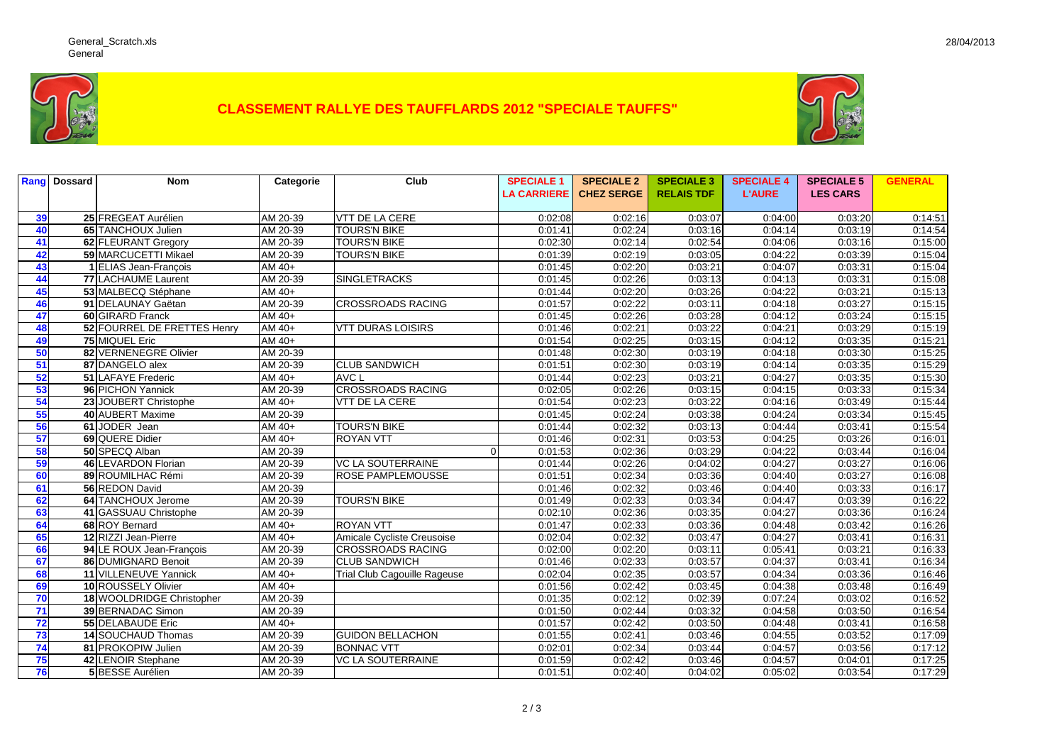

## **CLASSEMENT RALLYE DES TAUFFLARDS 2012 "SPECIALE TAUFFS"**



| Rang | <b>Dossard</b> | <b>Nom</b>                  | Categorie | Club                                | <b>SPECIALE 1</b>  | <b>SPECIALE 2</b> | <b>SPECIALE 3</b> | <b>SPECIALE 4</b> | <b>SPECIALE 5</b> | <b>GENERAL</b> |
|------|----------------|-----------------------------|-----------|-------------------------------------|--------------------|-------------------|-------------------|-------------------|-------------------|----------------|
|      |                |                             |           |                                     | <b>LA CARRIERE</b> | <b>CHEZ SERGE</b> | <b>RELAIS TDF</b> | <b>L'AURE</b>     | <b>LES CARS</b>   |                |
|      |                |                             |           |                                     |                    |                   |                   |                   |                   |                |
| 39   |                | 25 FREGEAT Aurélien         | AM 20-39  | <b>VTT DE LA CERE</b>               | 0:02:08            | 0:02:16           | 0:03:07           | 0:04:00           | 0:03:20           | 0:14:51        |
| 40   |                | 65 TANCHOUX Julien          | AM 20-39  | <b>TOURS'N BIKE</b>                 | 0:01:41            | 0:02:24           | 0:03:16           | 0:04:14           | 0:03:19           | 0:14:54        |
| 41   |                | 62 FLEURANT Gregory         | AM 20-39  | <b>TOURS'N BIKE</b>                 | 0:02:30            | 0:02:14           | 0:02:54           | 0:04:06           | 0:03:16           | 0:15:00        |
| 42   |                | 59 MARCUCETTI Mikael        | AM 20-39  | <b>TOURS'N BIKE</b>                 | 0:01:39            | 0:02:19           | 0:03:05           | 0:04:22           | 0:03:39           | 0:15:04        |
| 43   |                | 1 ELIAS Jean-François       | AM 40+    |                                     | 0:01:45            | 0:02:20           | 0:03:21           | 0:04:07           | 0:03:31           | 0:15:04        |
| 44   |                | 77 LACHAUME Laurent         | AM 20-39  | <b>SINGLETRACKS</b>                 | 0:01:45            | 0:02:26           | 0:03:13           | 0:04:13           | 0:03:31           | 0:15:08        |
| 45   |                | 53 MALBECQ Stéphane         | AM 40+    |                                     | 0:01:44            | 0:02:20           | 0:03:26           | 0:04:22           | 0:03:21           | 0:15:13        |
| 46   |                | 91 DELAUNAY Gaëtan          | AM 20-39  | <b>CROSSROADS RACING</b>            | 0:01:57            | 0:02:22           | 0:03:11           | 0:04:18           | 0:03:27           | 0:15:15        |
| 47   |                | 60 GIRARD Franck            | AM 40+    |                                     | 0:01:45            | 0:02:26           | 0:03:28           | 0:04:12           | 0:03:24           | 0:15:15        |
| 48   |                | 52 FOURREL DE FRETTES Henry | AM 40+    | <b>VTT DURAS LOISIRS</b>            | 0:01:46            | 0:02:21           | 0:03:22           | 0:04:21           | 0:03:29           | 0:15:19        |
| 49   |                | 75 MIQUEL Eric              | AM 40+    |                                     | 0:01:54            | 0:02:25           | 0:03:15           | 0:04:12           | 0:03:35           | 0:15:21        |
| 50   |                | 82 VERNENEGRE Olivier       | AM 20-39  |                                     | 0:01:48            | 0:02:30           | 0:03:19           | 0:04:18           | 0:03:30           | 0:15:25        |
| 51   |                | 87 DANGELO alex             | AM 20-39  | <b>CLUB SANDWICH</b>                | 0:01:51            | 0:02:30           | 0:03:19           | 0:04:14           | 0:03:35           | 0:15:29        |
| 52   |                | 51 LAFAYE Frederic          | AM $40+$  | AVC L                               | 0:01:44            | 0:02:23           | 0:03:21           | 0:04:27           | 0:03:35           | 0:15:30        |
| 53   |                | 96 PICHON Yannick           | AM 20-39  | <b>CROSSROADS RACING</b>            | 0:02:05            | 0:02:26           | 0:03:15           | 0:04:15           | 0:03:33           | 0:15:34        |
| 54   |                | 23 JOUBERT Christophe       | AM 40+    | VTT DE LA CERE                      | 0:01:54            | 0:02:23           | 0:03:22           | 0:04:16           | 0:03:49           | 0:15:44        |
| 55   |                | 40 AUBERT Maxime            | AM 20-39  |                                     | 0:01:45            | 0:02:24           | 0:03:38           | 0:04:24           | 0:03:34           | 0:15:45        |
| 56   |                | 61 JODER Jean               | $AM40+$   | <b>TOURS'N BIKE</b>                 | 0:01:44            | 0:02:32           | 0:03:13           | 0:04:44           | 0:03:41           | 0:15:54        |
| 57   |                | 69 QUERE Didier             | AM 40+    | <b>ROYAN VTT</b>                    | 0:01:46            | 0:02:31           | 0:03:53           | 0:04:25           | 0:03:26           | 0:16:01        |
| 58   |                | 50 SPECQ Alban              | AM 20-39  | $\Omega$                            | 0:01:53            | 0:02:36           | 0:03:29           | 0:04:22           | 0:03:44           | 0:16:04        |
| 59   |                | 46 LEVARDON Florian         | AM 20-39  | <b>VC LA SOUTERRAINE</b>            | 0:01:44            | 0:02:26           | 0:04:02           | 0:04:27           | 0:03:27           | 0:16:06        |
| 60   |                | 89 ROUMILHAC Rémi           | AM 20-39  | <b>ROSE PAMPLEMOUSSE</b>            | 0:01:51            | 0:02:34           | 0:03:36           | 0:04:40           | 0:03:27           | 0:16:08        |
| 61   |                | 56 REDON David              | AM 20-39  |                                     | 0:01:46            | 0:02:32           | 0:03:46           | 0:04:40           | 0:03:33           | 0:16:17        |
| 62   |                | 64 TANCHOUX Jerome          | AM 20-39  | <b>TOURS'N BIKE</b>                 | 0:01:49            | 0:02:33           | 0:03:34           | 0:04:47           | 0:03:39           | 0:16:22        |
| 63   |                | 41 GASSUAU Christophe       | AM 20-39  |                                     | 0:02:10            | 0:02:36           | 0:03:35           | 0:04:27           | 0:03:36           | 0:16:24        |
| 64   |                | 68 ROY Bernard              | AM 40+    | <b>ROYAN VTT</b>                    | 0:01:47            | 0:02:33           | 0:03:36           | 0:04:48           | 0:03:42           | 0:16:26        |
| 65   |                | 12 RIZZI Jean-Pierre        | AM 40+    | Amicale Cycliste Creusoise          | 0:02:04            | 0:02:32           | 0:03:47           | 0:04:27           | 0:03:41           | 0:16:31        |
| 66   |                | 94 LE ROUX Jean-François    | AM 20-39  | <b>CROSSROADS RACING</b>            | 0:02:00            | 0:02:20           | 0:03:11           | 0:05:41           | 0:03:21           | 0:16:33        |
| 67   |                | 86 DUMIGNARD Benoit         | AM 20-39  | <b>CLUB SANDWICH</b>                | 0:01:46            | 0:02:33           | 0:03:57           | 0:04:37           | 0:03:41           | 0:16:34        |
| 68   |                | 11 VILLENEUVE Yannick       | AM 40+    | <b>Trial Club Cagouille Rageuse</b> | 0:02:04            | 0:02:35           | 0:03:57           | 0:04:34           | 0:03:36           | 0:16:46        |
| 69   |                | 10 ROUSSELY Olivier         | AM 40+    |                                     | 0:01:56            | 0:02:42           | 0:03:45           | 0:04:38           | 0:03:48           | 0:16:49        |
| 70   |                | 18 WOOLDRIDGE Christopher   | AM 20-39  |                                     | 0:01:35            | 0:02:12           | 0:02:39           | 0:07:24           | 0:03:02           | 0:16:52        |
| 71   |                | 39 BERNADAC Simon           | AM 20-39  |                                     | 0:01:50            | 0:02:44           | 0:03:32           | 0:04:58           | 0:03:50           | 0:16:54        |
| 72   |                | 55 DELABAUDE Eric           | AM 40+    |                                     | 0:01:57            | 0:02:42           | 0:03:50           | 0:04:48           | 0:03:41           | 0:16:58        |
| 73   |                | 14 SOUCHAUD Thomas          | AM 20-39  | <b>GUIDON BELLACHON</b>             | 0:01:55            | 0:02:41           | 0:03:46           | 0:04:55           | 0:03:52           | 0:17:09        |
| 74   |                | 81 PROKOPIW Julien          | AM 20-39  | <b>BONNAC VTT</b>                   | 0:02:01            | 0:02:34           | 0:03:44           | 0:04:57           | 0:03:56           | 0:17:12        |
| 75   |                | 42 LENOIR Stephane          | AM 20-39  | <b>VC LA SOUTERRAINE</b>            | 0:01:59            | 0:02:42           | 0:03:46           | 0:04:57           | 0:04:01           | 0:17:25        |
| 76   |                | <b>5 BESSE Aurélien</b>     | AM 20-39  |                                     | 0:01:51            | 0:02:40           | 0:04:02           | 0:05:02           | 0:03:54           | 0:17:29        |